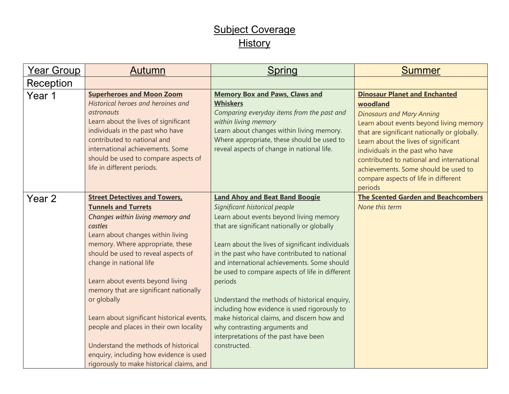## Subject Coverage **History**

| Year Group | Autumn                                                                                                                                                                                                                                                                                                                                                                                                                                                                                                                                                                             | Spring                                                                                                                                                                                                                                                                                                                                                                                                                                                                                                                                                                                                                      | <b>Summer</b>                                                                                                                                                                                                                                                                                                                                                                                       |
|------------|------------------------------------------------------------------------------------------------------------------------------------------------------------------------------------------------------------------------------------------------------------------------------------------------------------------------------------------------------------------------------------------------------------------------------------------------------------------------------------------------------------------------------------------------------------------------------------|-----------------------------------------------------------------------------------------------------------------------------------------------------------------------------------------------------------------------------------------------------------------------------------------------------------------------------------------------------------------------------------------------------------------------------------------------------------------------------------------------------------------------------------------------------------------------------------------------------------------------------|-----------------------------------------------------------------------------------------------------------------------------------------------------------------------------------------------------------------------------------------------------------------------------------------------------------------------------------------------------------------------------------------------------|
| Reception  |                                                                                                                                                                                                                                                                                                                                                                                                                                                                                                                                                                                    |                                                                                                                                                                                                                                                                                                                                                                                                                                                                                                                                                                                                                             |                                                                                                                                                                                                                                                                                                                                                                                                     |
| Year 1     | <b>Superheroes and Moon Zoom</b><br>Historical heroes and heroines and<br>astronauts<br>Learn about the lives of significant<br>individuals in the past who have<br>contributed to national and<br>international achievements. Some<br>should be used to compare aspects of<br>life in different periods.                                                                                                                                                                                                                                                                          | <b>Memory Box and Paws, Claws and</b><br><b>Whiskers</b><br>Comparing everyday items from the past and<br>within living memory<br>Learn about changes within living memory.<br>Where appropriate, these should be used to<br>reveal aspects of change in national life.                                                                                                                                                                                                                                                                                                                                                     | <b>Dinosaur Planet and Enchanted</b><br>woodland<br><b>Dinosaurs and Mary Anning</b><br>Learn about events beyond living memory<br>that are significant nationally or globally.<br>Learn about the lives of significant<br>individuals in the past who have<br>contributed to national and international<br>achievements. Some should be used to<br>compare aspects of life in different<br>periods |
| Year 2     | <b>Street Detectives and Towers,</b><br><b>Tunnels and Turrets</b><br>Changes within living memory and<br>castles<br>Learn about changes within living<br>memory. Where appropriate, these<br>should be used to reveal aspects of<br>change in national life<br>Learn about events beyond living<br>memory that are significant nationally<br>or globally<br>Learn about significant historical events,<br>people and places in their own locality<br>Understand the methods of historical<br>enquiry, including how evidence is used<br>rigorously to make historical claims, and | <b>Land Ahoy and Beat Band Boogie</b><br>Significant historical people<br>Learn about events beyond living memory<br>that are significant nationally or globally<br>Learn about the lives of significant individuals<br>in the past who have contributed to national<br>and international achievements. Some should<br>be used to compare aspects of life in different<br>periods<br>Understand the methods of historical enquiry,<br>including how evidence is used rigorously to<br>make historical claims, and discern how and<br>why contrasting arguments and<br>interpretations of the past have been<br>constructed. | <b>The Scented Garden and Beachcombers</b><br>None this term                                                                                                                                                                                                                                                                                                                                        |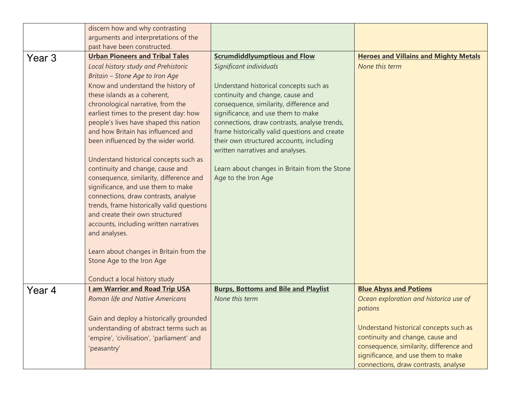|        | discern how and why contrasting                                               |                                               |                                              |
|--------|-------------------------------------------------------------------------------|-----------------------------------------------|----------------------------------------------|
|        | arguments and interpretations of the                                          |                                               |                                              |
|        | past have been constructed.                                                   |                                               |                                              |
| Year 3 | <b>Urban Pioneers and Tribal Tales</b>                                        | <b>Scrumdiddlyumptious and Flow</b>           | <b>Heroes and Villains and Mighty Metals</b> |
|        | Local history study and Prehistoric                                           | Significant individuals                       | None this term                               |
|        | Britain - Stone Age to Iron Age                                               |                                               |                                              |
|        | Know and understand the history of                                            | Understand historical concepts such as        |                                              |
|        | these islands as a coherent,                                                  | continuity and change, cause and              |                                              |
|        | chronological narrative, from the                                             | consequence, similarity, difference and       |                                              |
|        | earliest times to the present day: how                                        | significance, and use them to make            |                                              |
|        | people's lives have shaped this nation                                        | connections, draw contrasts, analyse trends,  |                                              |
|        | and how Britain has influenced and                                            | frame historically valid questions and create |                                              |
|        | been influenced by the wider world.                                           | their own structured accounts, including      |                                              |
|        |                                                                               | written narratives and analyses.              |                                              |
|        | Understand historical concepts such as                                        |                                               |                                              |
|        | continuity and change, cause and                                              | Learn about changes in Britain from the Stone |                                              |
|        | consequence, similarity, difference and<br>significance, and use them to make | Age to the Iron Age                           |                                              |
|        | connections, draw contrasts, analyse                                          |                                               |                                              |
|        | trends, frame historically valid questions                                    |                                               |                                              |
|        | and create their own structured                                               |                                               |                                              |
|        | accounts, including written narratives                                        |                                               |                                              |
|        | and analyses.                                                                 |                                               |                                              |
|        |                                                                               |                                               |                                              |
|        | Learn about changes in Britain from the                                       |                                               |                                              |
|        | Stone Age to the Iron Age                                                     |                                               |                                              |
|        |                                                                               |                                               |                                              |
|        | Conduct a local history study                                                 |                                               |                                              |
| Year 4 | <b>Lam Warrior and Road Trip USA</b>                                          | <b>Burps, Bottoms and Bile and Playlist</b>   | <b>Blue Abyss and Potions</b>                |
|        | <b>Roman life and Native Americans</b>                                        | None this term                                | Ocean exploration and historica use of       |
|        |                                                                               |                                               | potions                                      |
|        | Gain and deploy a historically grounded                                       |                                               |                                              |
|        | understanding of abstract terms such as                                       |                                               | Understand historical concepts such as       |
|        | 'empire', 'civilisation', 'parliament' and                                    |                                               | continuity and change, cause and             |
|        | 'peasantry'                                                                   |                                               | consequence, similarity, difference and      |
|        |                                                                               |                                               | significance, and use them to make           |
|        |                                                                               |                                               | connections, draw contrasts, analyse         |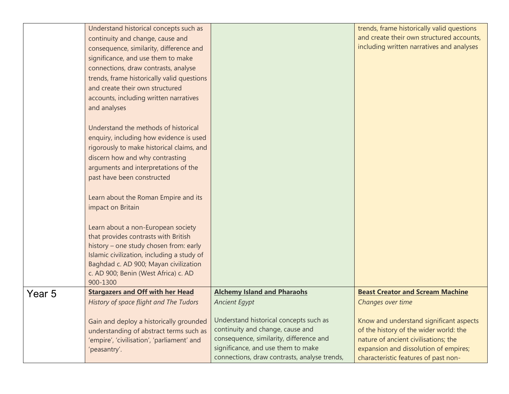|        | Understand historical concepts such as                                               |                                              | trends, frame historically valid questions |
|--------|--------------------------------------------------------------------------------------|----------------------------------------------|--------------------------------------------|
|        | continuity and change, cause and                                                     |                                              | and create their own structured accounts,  |
|        | consequence, similarity, difference and                                              |                                              | including written narratives and analyses  |
|        | significance, and use them to make                                                   |                                              |                                            |
|        | connections, draw contrasts, analyse                                                 |                                              |                                            |
|        | trends, frame historically valid questions                                           |                                              |                                            |
|        | and create their own structured                                                      |                                              |                                            |
|        | accounts, including written narratives                                               |                                              |                                            |
|        | and analyses                                                                         |                                              |                                            |
|        |                                                                                      |                                              |                                            |
|        | Understand the methods of historical                                                 |                                              |                                            |
|        | enquiry, including how evidence is used<br>rigorously to make historical claims, and |                                              |                                            |
|        | discern how and why contrasting                                                      |                                              |                                            |
|        | arguments and interpretations of the                                                 |                                              |                                            |
|        | past have been constructed                                                           |                                              |                                            |
|        |                                                                                      |                                              |                                            |
|        | Learn about the Roman Empire and its                                                 |                                              |                                            |
|        | impact on Britain                                                                    |                                              |                                            |
|        |                                                                                      |                                              |                                            |
|        | Learn about a non-European society                                                   |                                              |                                            |
|        | that provides contrasts with British                                                 |                                              |                                            |
|        | history - one study chosen from: early                                               |                                              |                                            |
|        | Islamic civilization, including a study of                                           |                                              |                                            |
|        | Baghdad c. AD 900; Mayan civilization                                                |                                              |                                            |
|        | c. AD 900; Benin (West Africa) c. AD                                                 |                                              |                                            |
|        | 900-1300                                                                             |                                              |                                            |
| Year 5 | <b>Stargazers and Off with her Head</b>                                              | <b>Alchemy Island and Pharaohs</b>           | <b>Beast Creator and Scream Machine</b>    |
|        | History of space flight and The Tudors                                               | <b>Ancient Egypt</b>                         | Changes over time                          |
|        | Gain and deploy a historically grounded                                              | Understand historical concepts such as       | Know and understand significant aspects    |
|        | understanding of abstract terms such as                                              | continuity and change, cause and             | of the history of the wider world: the     |
|        | 'empire', 'civilisation', 'parliament' and                                           | consequence, similarity, difference and      | nature of ancient civilisations; the       |
|        | 'peasantry'.                                                                         | significance, and use them to make           | expansion and dissolution of empires;      |
|        |                                                                                      | connections, draw contrasts, analyse trends, | characteristic features of past non-       |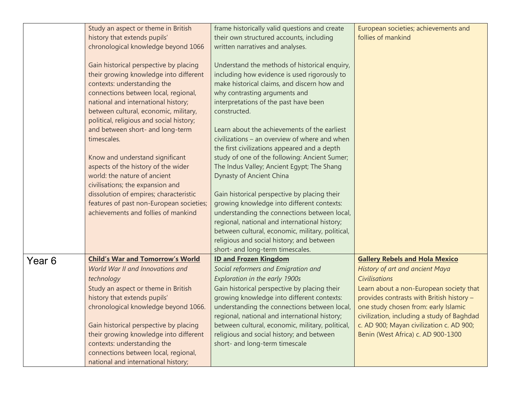|        | Study an aspect or theme in British                                                | frame historically valid questions and create                                                 | European societies; achievements and       |
|--------|------------------------------------------------------------------------------------|-----------------------------------------------------------------------------------------------|--------------------------------------------|
|        | history that extends pupils'                                                       | their own structured accounts, including                                                      | follies of mankind                         |
|        | chronological knowledge beyond 1066                                                | written narratives and analyses.                                                              |                                            |
|        |                                                                                    |                                                                                               |                                            |
|        | Gain historical perspective by placing                                             | Understand the methods of historical enquiry,                                                 |                                            |
|        | their growing knowledge into different                                             | including how evidence is used rigorously to                                                  |                                            |
|        | contexts: understanding the                                                        | make historical claims, and discern how and                                                   |                                            |
|        | connections between local, regional,                                               | why contrasting arguments and                                                                 |                                            |
|        | national and international history;                                                | interpretations of the past have been                                                         |                                            |
|        | between cultural, economic, military,                                              | constructed.                                                                                  |                                            |
|        | political, religious and social history;                                           |                                                                                               |                                            |
|        | and between short- and long-term                                                   | Learn about the achievements of the earliest                                                  |                                            |
|        | timescales.                                                                        | civilizations - an overview of where and when                                                 |                                            |
|        |                                                                                    | the first civilizations appeared and a depth                                                  |                                            |
|        | Know and understand significant                                                    | study of one of the following: Ancient Sumer;                                                 |                                            |
|        | aspects of the history of the wider<br>world: the nature of ancient                | The Indus Valley; Ancient Egypt; The Shang                                                    |                                            |
|        |                                                                                    | Dynasty of Ancient China                                                                      |                                            |
|        | civilisations; the expansion and                                                   |                                                                                               |                                            |
|        | dissolution of empires; characteristic<br>features of past non-European societies; | Gain historical perspective by placing their<br>growing knowledge into different contexts:    |                                            |
|        | achievements and follies of mankind                                                |                                                                                               |                                            |
|        |                                                                                    | understanding the connections between local,<br>regional, national and international history; |                                            |
|        |                                                                                    | between cultural, economic, military, political,                                              |                                            |
|        |                                                                                    | religious and social history; and between                                                     |                                            |
|        |                                                                                    | short- and long-term timescales.                                                              |                                            |
|        | <b>Child's War and Tomorrow's World</b>                                            | <b>ID and Frozen Kingdom</b>                                                                  | <b>Gallery Rebels and Hola Mexico</b>      |
| Year 6 | World War II and Innovations and                                                   | Social reformers and Emigration and                                                           | <b>History of art and ancient Maya</b>     |
|        | technology                                                                         | Exploration in the early 1900s                                                                | <b>Civilisations</b>                       |
|        | Study an aspect or theme in British                                                | Gain historical perspective by placing their                                                  | Learn about a non-European society that    |
|        | history that extends pupils'                                                       | growing knowledge into different contexts:                                                    | provides contrasts with British history -  |
|        |                                                                                    | understanding the connections between local,                                                  | one study chosen from: early Islamic       |
|        | chronological knowledge beyond 1066.                                               | regional, national and international history;                                                 | civilization, including a study of Baghdad |
|        | Gain historical perspective by placing                                             | between cultural, economic, military, political,                                              | c. AD 900; Mayan civilization c. AD 900;   |
|        | their growing knowledge into different                                             | religious and social history; and between                                                     | Benin (West Africa) c. AD 900-1300         |
|        | contexts: understanding the                                                        | short- and long-term timescale                                                                |                                            |
|        | connections between local, regional,                                               |                                                                                               |                                            |
|        | national and international history;                                                |                                                                                               |                                            |